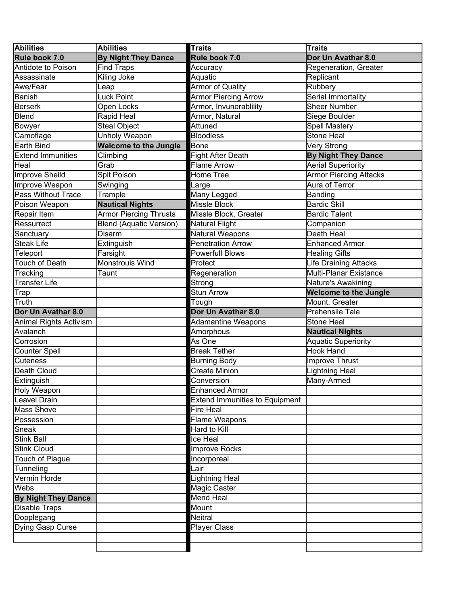| <b>Abilities</b>           | <b>Abilities</b>               | <b>Traits</b>                         | <b>Traits</b>                 |
|----------------------------|--------------------------------|---------------------------------------|-------------------------------|
| Rule book 7.0              | <b>By Night They Dance</b>     | Rule book 7.0                         | Dor Un Avathar 8.0            |
| Antidote to Poison         | <b>Find Traps</b>              | Accuracy                              | Regeneration, Greater         |
| Assassinate                | Kiling Joke                    | Aquatic                               | Replicant                     |
| Awe/Fear                   | ∟eap                           | <b>Armor of Quality</b>               | Rubbery                       |
| Banish                     | Luck Point                     | <b>Armor Piercing Arrow</b>           | Serial Immortality            |
| <b>Berserk</b>             | Open Locks                     | Armor, Invunerablility                | <b>Sheer Number</b>           |
| Blend                      | Rapid Heal                     | Armor, Natural                        | Siege Boulder                 |
| Bowyer                     | <b>Steal Object</b>            | Attuned                               | Spell Mastery                 |
| Camoflage                  | Unholy Weapon                  | <b>Bloodless</b>                      | <b>Stone Heal</b>             |
| <b>Earth Bind</b>          | <b>Welcome to the Jungle</b>   | <b>Bone</b>                           | Very Strong                   |
| <b>Extend Immunities</b>   | Climbing                       | <b>Fight After Death</b>              | <b>By Night They Dance</b>    |
| Heal                       | Grab                           | <b>Flame Arrow</b>                    | <b>Aerial Superiority</b>     |
| <b>Improve Sheild</b>      | Spit Poison                    | Home Tree                             | <b>Armor Piercing Attacks</b> |
| Improve Weapon             | Swinging                       | Large                                 | Aura of Terror                |
| <b>Pass Without Trace</b>  | Trample                        | Many Legged                           | Banding                       |
| Poison Weapon              | <b>Nautical Nights</b>         | Missle Block                          | <b>Bardic Skill</b>           |
| Repair Item                | <b>Armor Piercing Thrusts</b>  | Missle Block, Greater                 | <b>Bardic Talent</b>          |
| Ressurrect                 | <b>Blend (Aquatic Version)</b> | Natural Flight                        | Companion                     |
| Sanctuary                  | <b>Disarm</b>                  | Natural Weapons                       | Death Heal                    |
| <b>Steak Life</b>          | Extinguish                     | <b>Penetration Arrow</b>              | <b>Enhanced Armor</b>         |
| Teleport                   | Farsight                       | <b>Powerfull Blows</b>                | <b>Healing Gifts</b>          |
| <b>Touch of Death</b>      | Monstrouis Wind                | Protect                               | <b>Life Draining Attacks</b>  |
| Tracking                   | Taunt                          | Regeneration                          | Multi-Planar Existance        |
| <b>Transfer Life</b>       |                                | Strong                                | Nature's Awakining            |
| Trap                       |                                | <b>Stun Arrow</b>                     | <b>Welcome to the Jungle</b>  |
| Truth                      |                                | Tough                                 | Mount, Greater                |
| Dor Un Avathar 8.0         |                                | Dor Un Avathar 8.0                    | <b>Prehensile Tale</b>        |
| Animal Rights Activism     |                                | <b>Adamantine Weapons</b>             | <b>Stone Heal</b>             |
| Avalanch                   |                                | Amorphous                             | <b>Nautical Nights</b>        |
| Corrosion                  |                                | As One                                | <b>Aquatic Superiority</b>    |
| <b>Counter Spell</b>       |                                | <b>Break Tether</b>                   | <b>Hook Hand</b>              |
| <b>Cuteness</b>            |                                | <b>Burning Body</b>                   | Improve Thrust                |
| Death Cloud                |                                | <b>Create Minion</b>                  | <b>Lightning Heal</b>         |
| Extinguish                 |                                | Conversion                            | Many-Armed                    |
| Holy Weapon                |                                | <b>Enhanced Armor</b>                 |                               |
| Leavel Drain               |                                | <b>Extend Immunities to Equipment</b> |                               |
| <b>Mass Shove</b>          |                                | Fire Heal                             |                               |
| Possession                 |                                | Flame Weapons                         |                               |
| Sneak                      |                                | Hard to Kill                          |                               |
| <b>Stink Ball</b>          |                                | Ice Heal                              |                               |
| <b>Stink Cloud</b>         |                                | <b>Improve Rocks</b>                  |                               |
| <b>Touch of Plague</b>     |                                | Incorporeal                           |                               |
| Tunneling                  |                                | Lair                                  |                               |
| Vermin Horde               |                                | <b>Lightning Heal</b>                 |                               |
| Webs                       |                                | Magic Caster                          |                               |
| <b>By Night They Dance</b> |                                | <b>Mend Heal</b>                      |                               |
| <b>Disable Traps</b>       |                                | Mount                                 |                               |
| Dopplegang                 |                                | Neitral                               |                               |
| Dying Gasp Curse           |                                | <b>Player Class</b>                   |                               |
|                            |                                |                                       |                               |
|                            |                                |                                       |                               |